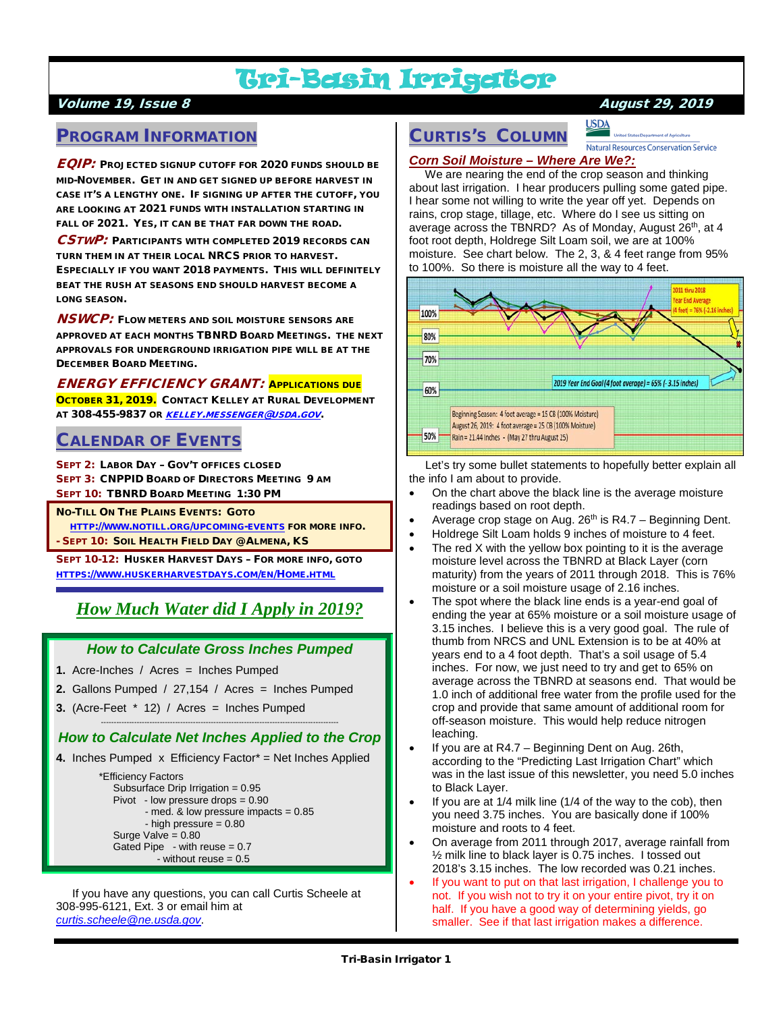# Tri-Basin Irrigator

### Volume 19, Issue 8 August 29, 2019

### PROGRAM INFORMATION

EQIP: PROJECTED SIGNUP CUTOFF FOR 2020 FUNDS SHOULD BE MID-NOVEMBER. GET IN AND GET SIGNED UP BEFORE HARVEST IN CASE IT'S A LENGTHY ONE. IF SIGNING UP AFTER THE CUTOFF, YOU ARE LOOKING AT 2021 FUNDS WITH INSTALLATION STARTING IN FALL OF 2021. YES, IT CAN BE THAT FAR DOWN THE ROAD.

CSTWP: PARTICIPANTS WITH COMPLETED 2019 RECORDS CAN TURN THEM IN AT THEIR LOCAL NRCS PRIOR TO HARVEST. ESPECIALLY IF YOU WANT 2018 PAYMENTS. THIS WILL DEFINITELY BEAT THE RUSH AT SEASONS END SHOULD HARVEST BECOME A LONG SEASON.

**NSWCP:** FLOW METERS AND SOIL MOISTURE SENSORS ARE APPROVED AT EACH MONTHS TBNRD BOARD MEETINGS. THE NEXT APPROVALS FOR UNDERGROUND IRRIGATION PIPE WILL BE AT THE DECEMBER BOARD MEETING.

ENERGY EFFICIENCY GRANT: APPLICATIONS DUE OCTOBER 31, 2019. CONTACT KELLEY AT RURAL DEVELOPMENT AT 308-455-9837 OR [KELLEY.MESSENGER@USDA.GOV](mailto:kelley.messenger@usda.gov).

# CALENDAR OF EVENTS

SEPT 2: LABOR DAY – GOV'T OFFICES CLOSED SEPT 3: CNPPID BOARD OF DIRECTORS MEETING 9 AM SEPT 10: TBNRD BOARD MEETING 1:30 PM

NO-TILL ON THE PLAINS EVENTS: GOTO

 [HTTP://WWW.NOTILL.ORG/UPCOMING-EVENTS](http://www.notill.org/upcoming-events) FOR MORE INFO. - SEPT 10: SOIL HEALTH FIELD DAY @ ALMENA, KS

SEPT 10-12: HUSKER HARVEST DAYS – FOR MORE INFO, GOTO [HTTPS://WWW.HUSKERHARVESTDAYS.COM/EN/HOME.HTML](https://www.huskerharvestdays.com/en/Home.html)

# *How Much Water did I Apply in 2019?*

#### *How to Calculate Gross Inches Pumped*

- **1.** Acre-Inches / Acres = Inches Pumped
- **2.** Gallons Pumped / 27,154 / Acres = Inches Pumped
- **3.** (Acre-Feet  $*$  12) / Acres = Inches Pumped

#### --------------------------------------------------------------------------------------------- *How to Calculate Net Inches Applied to the Crop*

**4.** Inches Pumped x Efficiency Factor\* = Net Inches Applied

 \*Efficiency Factors Subsurface Drip Irrigation = 0.95 Pivot - low pressure drops = 0.90  $-$  med. & low pressure impacts  $= 0.85$  - high pressure = 0.80 Surge Valve  $= 0.80$ Gated Pipe - with reuse  $= 0.7$ - without reuse = 0.5

 If you have any questions, you can call Curtis Scheele at 308-995-6121, Ext. 3 or email him at *[curtis.scheele@ne.usda.gov](mailto:curtis.scheele@ne.usda.gov)*.

# CURTIS'S COLUMN

**USDA Natural Resources Conservation Service** 

#### *Corn Soil Moisture – Where Are We?:*

 We are nearing the end of the crop season and thinking about last irrigation. I hear producers pulling some gated pipe. I hear some not willing to write the year off yet. Depends on rains, crop stage, tillage, etc. Where do I see us sitting on average across the TBNRD? As of Monday, August 26<sup>th</sup>, at 4 foot root depth, Holdrege Silt Loam soil, we are at 100% moisture. See chart below. The 2, 3, & 4 feet range from 95% to 100%. So there is moisture all the way to 4 feet.



 Let's try some bullet statements to hopefully better explain all the info I am about to provide.

- On the chart above the black line is the average moisture readings based on root depth.
- Average crop stage on Aug.  $26<sup>th</sup>$  is R4.7 Beginning Dent.
- Holdrege Silt Loam holds 9 inches of moisture to 4 feet.
- The red  $X$  with the yellow box pointing to it is the average moisture level across the TBNRD at Black Layer (corn maturity) from the years of 2011 through 2018. This is 76% moisture or a soil moisture usage of 2.16 inches.
- The spot where the black line ends is a year-end goal of ending the year at 65% moisture or a soil moisture usage of 3.15 inches. I believe this is a very good goal. The rule of thumb from NRCS and UNL Extension is to be at 40% at years end to a 4 foot depth. That's a soil usage of 5.4 inches. For now, we just need to try and get to 65% on average across the TBNRD at seasons end. That would be 1.0 inch of additional free water from the profile used for the crop and provide that same amount of additional room for off-season moisture. This would help reduce nitrogen leaching.
- If you are at R4.7 Beginning Dent on Aug. 26th, according to the "Predicting Last Irrigation Chart" which was in the last issue of this newsletter, you need 5.0 inches to Black Layer.
- If you are at 1/4 milk line (1/4 of the way to the cob), then you need 3.75 inches. You are basically done if 100% moisture and roots to 4 feet.
- On average from 2011 through 2017, average rainfall from ½ milk line to black layer is 0.75 inches. I tossed out 2018's 3.15 inches. The low recorded was 0.21 inches.
- If you want to put on that last irrigation, I challenge you to not. If you wish not to try it on your entire pivot, try it on half. If you have a good way of determining yields, go smaller. See if that last irrigation makes a difference.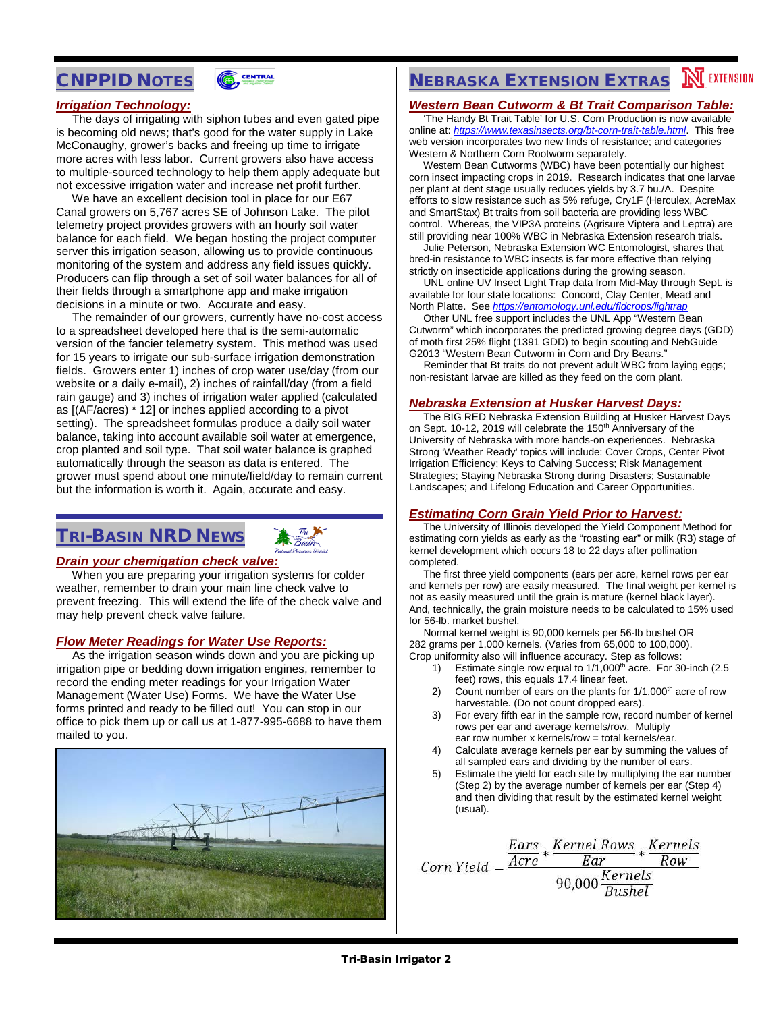# CNPPID NOTES



#### *Irrigation Technology:*

 The days of irrigating with siphon tubes and even gated pipe is becoming old news; that's good for the water supply in Lake McConaughy, grower's backs and freeing up time to irrigate more acres with less labor. Current growers also have access to multiple-sourced technology to help them apply adequate but not excessive irrigation water and increase net profit further.

 We have an excellent decision tool in place for our E67 Canal growers on 5,767 acres SE of Johnson Lake. The pilot telemetry project provides growers with an hourly soil water balance for each field. We began hosting the project computer server this irrigation season, allowing us to provide continuous monitoring of the system and address any field issues quickly. Producers can flip through a set of soil water balances for all of their fields through a smartphone app and make irrigation decisions in a minute or two. Accurate and easy.

 The remainder of our growers, currently have no-cost access to a spreadsheet developed here that is the semi-automatic version of the fancier telemetry system. This method was used for 15 years to irrigate our sub-surface irrigation demonstration fields. Growers enter 1) inches of crop water use/day (from our website or a daily e-mail), 2) inches of rainfall/day (from a field rain gauge) and 3) inches of irrigation water applied (calculated as [(AF/acres) \* 12] or inches applied according to a pivot setting). The spreadsheet formulas produce a daily soil water balance, taking into account available soil water at emergence, crop planted and soil type. That soil water balance is graphed automatically through the season as data is entered. The grower must spend about one minute/field/day to remain current but the information is worth it. Again, accurate and easy.

# TRI-BASIN NRD NEWS



#### *Drain your chemigation check valve:*

 When you are preparing your irrigation systems for colder weather, remember to drain your main line check valve to prevent freezing. This will extend the life of the check valve and may help prevent check valve failure.

#### *Flow Meter Readings for Water Use Reports:*

 As the irrigation season winds down and you are picking up irrigation pipe or bedding down irrigation engines, remember to record the ending meter readings for your Irrigation Water Management (Water Use) Forms. We have the Water Use forms printed and ready to be filled out! You can stop in our office to pick them up or call us at 1-877-995-6688 to have them mailed to you.



# **NEBRASKA EXTENSION EXTRAS NEXTENSION**

#### *Western Bean Cutworm & Bt Trait Comparison Table:*

 'The Handy Bt Trait Table' for U.S. Corn Production is now available online at: *<https://www.texasinsects.org/bt-corn-trait-table.html>*. This free web version incorporates two new finds of resistance; and categories Western & Northern Corn Rootworm separately.

 Western Bean Cutworms (WBC) have been potentially our highest corn insect impacting crops in 2019. Research indicates that one larvae per plant at dent stage usually reduces yields by 3.7 bu./A. Despite efforts to slow resistance such as 5% refuge, Cry1F (Herculex, AcreMax and SmartStax) Bt traits from soil bacteria are providing less WBC control. Whereas, the VIP3A proteins (Agrisure Viptera and Leptra) are still providing near 100% WBC in Nebraska Extension research trials.

 Julie Peterson, Nebraska Extension WC Entomologist, shares that bred-in resistance to WBC insects is far more effective than relying strictly on insecticide applications during the growing season.

 UNL online UV Insect Light Trap data from Mid-May through Sept. is available for four state locations: Concord, Clay Center, Mead and North Platte. See *<https://entomology.unl.edu/fldcrops/lightrap>*

 Other UNL free support includes the UNL App "Western Bean Cutworm" which incorporates the predicted growing degree days (GDD) of moth first 25% flight (1391 GDD) to begin scouting and NebGuide G2013 "Western Bean Cutworm in Corn and Dry Beans."

 Reminder that Bt traits do not prevent adult WBC from laying eggs; non-resistant larvae are killed as they feed on the corn plant.

#### *Nebraska Extension at Husker Harvest Days:*

 The BIG RED Nebraska Extension Building at Husker Harvest Days on Sept. 10-12, 2019 will celebrate the 150<sup>th</sup> Anniversary of the University of Nebraska with more hands-on experiences. Nebraska Strong 'Weather Ready' topics will include: Cover Crops, Center Pivot Irrigation Efficiency; Keys to Calving Success; Risk Management Strategies; Staying Nebraska Strong during Disasters; Sustainable Landscapes; and Lifelong Education and Career Opportunities.

#### *Estimating Corn Grain Yield Prior to Harvest:*

 The University of Illinois developed the Yield Component Method for estimating corn yields as early as the "roasting ear" or milk (R3) stage of kernel development which occurs 18 to 22 days after pollination completed.

 The first three yield components (ears per acre, kernel rows per ear and kernels per row) are easily measured. The final weight per kernel is not as easily measured until the grain is mature (kernel black layer). And, technically, the grain moisture needs to be calculated to 15% used for 56-lb. market bushel.

 Normal kernel weight is 90,000 kernels per 56-lb bushel OR 282 grams per 1,000 kernels. (Varies from 65,000 to 100,000). Crop uniformity also will influence accuracy. Step as follows:

- 1) Estimate single row equal to  $1/1,000<sup>th</sup>$  acre. For 30-inch (2.5) feet) rows, this equals 17.4 linear feet.
- 2) Count number of ears on the plants for  $1/1,000<sup>th</sup>$  acre of row harvestable. (Do not count dropped ears).
- 3) For every fifth ear in the sample row, record number of kernel rows per ear and average kernels/row. Multiply ear row number x kernels/row = total kernels/ear.
- 4) Calculate average kernels per ear by summing the values of all sampled ears and dividing by the number of ears.
- 5) Estimate the yield for each site by multiplying the ear number (Step 2) by the average number of kernels per ear (Step 4) and then dividing that result by the estimated kernel weight (usual).

Ears Kernel Rows Kernels  $Corn Yield = \frac{\frac{1}{|A|} \cdot \frac{1}{|C|}}{1}$  $Ear$  $Row$  $\frac{Ear}{90,000} \frac{Kernels}{Bushel}$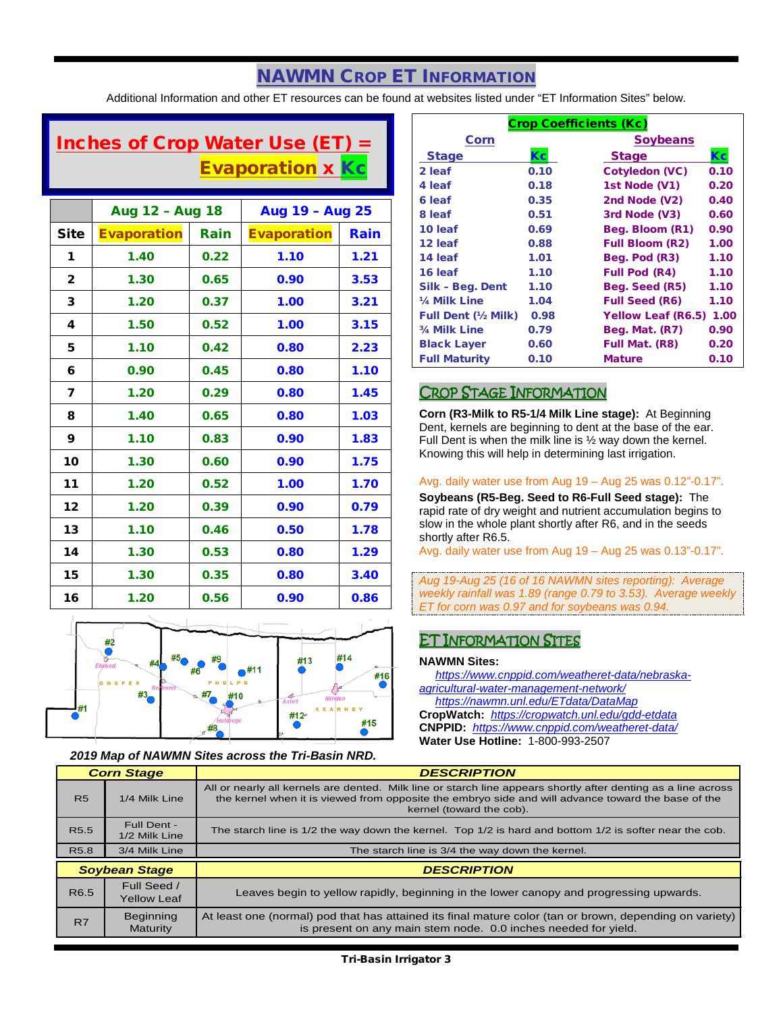# NAWMN CROP ET INFORMATION

Additional Information and other ET resources can be found at websites listed under "ET Information Sites" below.

# Inches of Crop Water Use (ET)  $=$ **Evaporation x Kc**

|              | Aug 12 - Aug 18    |      | Aug 19 - Aug 25    |      |
|--------------|--------------------|------|--------------------|------|
| <b>Site</b>  | <b>Evaporation</b> | Rain | <b>Evaporation</b> | Rain |
| 1            | 1.40               | 0.22 | 1.10               | 1.21 |
| $\mathbf{2}$ | 1.30               | 0.65 | 0.90               | 3.53 |
| 3            | 1.20               | 0.37 | 1.00               | 3.21 |
| 4            | 1.50               | 0.52 | 1.00               | 3.15 |
| 5            | 1.10               | 0.42 | 0.80               | 2.23 |
| 6            | 0.90               | 0.45 | 0.80               | 1.10 |
| 7            | 1.20               | 0.29 | 0.80               | 1.45 |
| 8            | 1.40               | 0.65 | 0.80               | 1.03 |
| 9            | 1.10               | 0.83 | 0.90               | 1.83 |
| 10           | 1.30               | 0.60 | 0.90               | 1.75 |
| 11           | 1.20               | 0.52 | 1.00               | 1.70 |
| 12           | 1.20               | 0.39 | 0.90               | 0.79 |
| 13           | 1.10               | 0.46 | 0.50               | 1.78 |
| 14           | 1.30               | 0.53 | 0.80               | 1.29 |
| 15           | 1.30               | 0.35 | 0.80               | 3.40 |
| 16           | 1.20               | 0.56 | 0.90               | 0.86 |



#### *2019 Map of NAWMN Sites across the Tri-Basin NRD.*

| <b>Crop Coefficients (Kc)</b> |           |                           |      |
|-------------------------------|-----------|---------------------------|------|
| Corn                          |           | <b>Soybeans</b>           |      |
| <b>Stage</b>                  | <b>Kc</b> | <b>Stage</b>              | Кc   |
| 2 leaf                        | 0.10      | <b>Cotyledon (VC)</b>     | 0.10 |
| 4 leaf                        | 0.18      | 1st Node (V1)             | 0.20 |
| 6 leaf                        | 0.35      | 2nd Node (V2)             | 0.40 |
| 8 leaf                        | 0.51      | 3rd Node (V3)             | 0.60 |
| 10 leaf                       | 0.69      | Beg. Bloom (R1)           | 0.90 |
| 12 leaf                       | 0.88      | <b>Full Bloom (R2)</b>    | 1.00 |
| 14 leaf                       | 1.01      | Beg. Pod (R3)             | 1.10 |
| 16 leaf                       | 1.10      | Full Pod (R4)             | 1.10 |
| Silk - Beg. Dent              | 1.10      | Beg. Seed (R5)            | 1.10 |
| 1/4 Milk Line                 | 1.04      | <b>Full Seed (R6)</b>     | 1.10 |
| <b>Full Dent (1/2 Milk)</b>   | 0.98      | <b>Yellow Leaf (R6.5)</b> | 1.00 |
| 3/4 Milk Line                 | 0.79      | Beg. Mat. (R7)            | 0.90 |
| <b>Black Layer</b>            | 0.60      | Full Mat. (R8)            | 0.20 |
| <b>Full Maturity</b>          | 0.10      | <b>Mature</b>             | 0.10 |

### CROP STAGE INFORMATION

**Corn (R3-Milk to R5-1/4 Milk Line stage):** At Beginning Dent, kernels are beginning to dent at the base of the ear. Full Dent is when the milk line is ½ way down the kernel. Knowing this will help in determining last irrigation.

#### Avg. daily water use from Aug 19 – Aug 25 was 0.12"-0.17".

**Soybeans (R5-Beg. Seed to R6-Full Seed stage):** The rapid rate of dry weight and nutrient accumulation begins to slow in the whole plant shortly after R6, and in the seeds shortly after R6.5.

Avg. daily water use from Aug 19 – Aug 25 was 0.13"-0.17".

*Aug 19-Aug 25 (16 of 16 NAWMN sites reporting): Average weekly rainfall was 1.89 (range 0.79 to 3.53). Average weekly ET for corn was 0.97 and for soybeans was 0.94.*

#### ET INFORMATION SITES

#### **NAWMN Sites:**

 *[https://www.cnppid.com/weatheret-data/nebraska](https://www.cnppid.com/weatheret-data/nebraska-agricultural-water-management-network/)[agricultural-water-management-network/](https://www.cnppid.com/weatheret-data/nebraska-agricultural-water-management-network/) <https://nawmn.unl.edu/ETdata/DataMap>*

**CropWatch:** *<https://cropwatch.unl.edu/gdd-etdata>* **CNPPID:** *<https://www.cnppid.com/weatheret-data/>* **Water Use Hotline:** 1-800-993-2507

| <b>Corn Stage</b>    |                              | <b>DESCRIPTION</b>                                                                                                                                                                                                                              |  |
|----------------------|------------------------------|-------------------------------------------------------------------------------------------------------------------------------------------------------------------------------------------------------------------------------------------------|--|
| <b>R5</b>            | 1/4 Milk Line                | All or nearly all kernels are dented. Milk line or starch line appears shortly after denting as a line across<br>the kernel when it is viewed from opposite the embryo side and will advance toward the base of the<br>kernel (toward the cob). |  |
| R <sub>5.5</sub>     | Full Dent -<br>1/2 Milk Line | The starch line is 1/2 the way down the kernel. Top 1/2 is hard and bottom 1/2 is softer near the cob.                                                                                                                                          |  |
| R <sub>5.8</sub>     | 3/4 Milk Line                | The starch line is 3/4 the way down the kernel.                                                                                                                                                                                                 |  |
| <b>Soybean Stage</b> |                              | <b>DESCRIPTION</b>                                                                                                                                                                                                                              |  |
|                      | Full Seed /                  |                                                                                                                                                                                                                                                 |  |
| R <sub>6.5</sub>     | <b>Yellow Leaf</b>           | Leaves begin to yellow rapidly, beginning in the lower canopy and progressing upwards.                                                                                                                                                          |  |